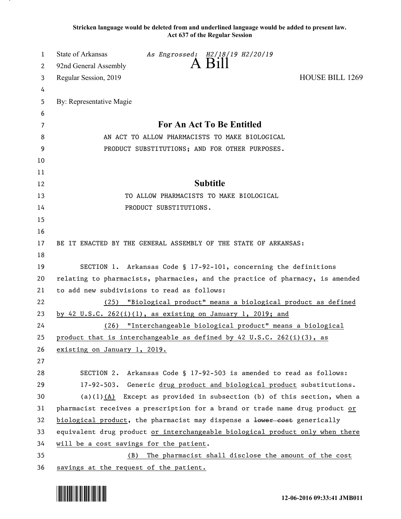**Stricken language would be deleted from and underlined language would be added to present law. Act 637 of the Regular Session**

| 1  | State of Arkansas<br>As Engrossed: H2/18/19 H2/20/19                              |  |
|----|-----------------------------------------------------------------------------------|--|
| 2  | A Bill<br>92nd General Assembly                                                   |  |
| 3  | <b>HOUSE BILL 1269</b><br>Regular Session, 2019                                   |  |
| 4  |                                                                                   |  |
| 5  | By: Representative Magie                                                          |  |
| 6  |                                                                                   |  |
| 7  | For An Act To Be Entitled                                                         |  |
| 8  | AN ACT TO ALLOW PHARMACISTS TO MAKE BIOLOGICAL                                    |  |
| 9  | PRODUCT SUBSTITUTIONS; AND FOR OTHER PURPOSES.                                    |  |
| 10 |                                                                                   |  |
| 11 |                                                                                   |  |
| 12 | <b>Subtitle</b>                                                                   |  |
| 13 | TO ALLOW PHARMACISTS TO MAKE BIOLOGICAL                                           |  |
| 14 | PRODUCT SUBSTITUTIONS.                                                            |  |
| 15 |                                                                                   |  |
| 16 |                                                                                   |  |
| 17 | BE IT ENACTED BY THE GENERAL ASSEMBLY OF THE STATE OF ARKANSAS:                   |  |
| 18 |                                                                                   |  |
| 19 | SECTION 1. Arkansas Code § 17-92-101, concerning the definitions                  |  |
| 20 | relating to pharmacists, pharmacies, and the practice of pharmacy, is amended     |  |
| 21 | to add new subdivisions to read as follows:                                       |  |
| 22 | (25) "Biological product" means a biological product as defined                   |  |
| 23 | by 42 U.S.C. 262 $(i)(1)$ , as existing on January 1, 2019; and                   |  |
| 24 | (26) "Interchangeable biological product" means a biological                      |  |
| 25 | product that is interchangeable as defined by $42 \text{ U.S.C. } 262(i)(3)$ , as |  |
| 26 | existing on January 1, 2019.                                                      |  |
| 27 |                                                                                   |  |
| 28 | SECTION 2. Arkansas Code § 17-92-503 is amended to read as follows:               |  |
| 29 | 17-92-503. Generic drug product and biological product substitutions.             |  |
| 30 | (a) $(1)$ $(A)$ Except as provided in subsection (b) of this section, when a      |  |
| 31 | pharmacist receives a prescription for a brand or trade name drug product or      |  |
| 32 | biological product, the pharmacist may dispense a lower cost generically          |  |
| 33 | equivalent drug product or interchangeable biological product only when there     |  |
| 34 | will be a cost savings for the patient.                                           |  |
| 35 | The pharmacist shall disclose the amount of the cost<br>(B)                       |  |
| 36 | savings at the request of the patient.                                            |  |

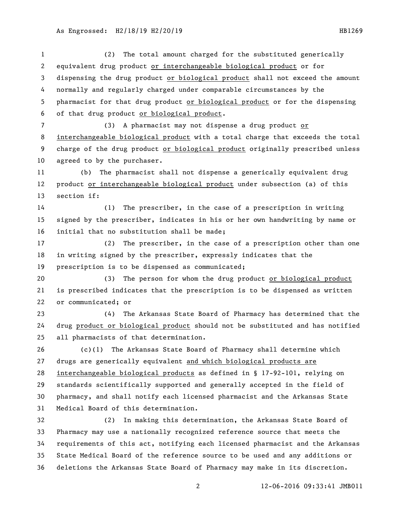12-06-2016 09:33:41 JMB011 (2) The total amount charged for the substituted generically equivalent drug product or interchangeable biological product or for dispensing the drug product or biological product shall not exceed the amount normally and regularly charged under comparable circumstances by the pharmacist for that drug product or biological product or for the dispensing of that drug product or biological product. (3) A pharmacist may not dispense a drug product or interchangeable biological product with a total charge that exceeds the total charge of the drug product or biological product originally prescribed unless agreed to by the purchaser. (b) The pharmacist shall not dispense a generically equivalent drug product or interchangeable biological product under subsection (a) of this section if: (1) The prescriber, in the case of a prescription in writing signed by the prescriber, indicates in his or her own handwriting by name or initial that no substitution shall be made; (2) The prescriber, in the case of a prescription other than one in writing signed by the prescriber, expressly indicates that the prescription is to be dispensed as communicated; (3) The person for whom the drug product or biological product is prescribed indicates that the prescription is to be dispensed as written or communicated; or (4) The Arkansas State Board of Pharmacy has determined that the drug product or biological product should not be substituted and has notified all pharmacists of that determination. (c)(1) The Arkansas State Board of Pharmacy shall determine which drugs are generically equivalent and which biological products are interchangeable biological products as defined in § 17-92-101, relying on standards scientifically supported and generally accepted in the field of pharmacy, and shall notify each licensed pharmacist and the Arkansas State Medical Board of this determination. (2) In making this determination, the Arkansas State Board of Pharmacy may use a nationally recognized reference source that meets the requirements of this act, notifying each licensed pharmacist and the Arkansas State Medical Board of the reference source to be used and any additions or deletions the Arkansas State Board of Pharmacy may make in its discretion.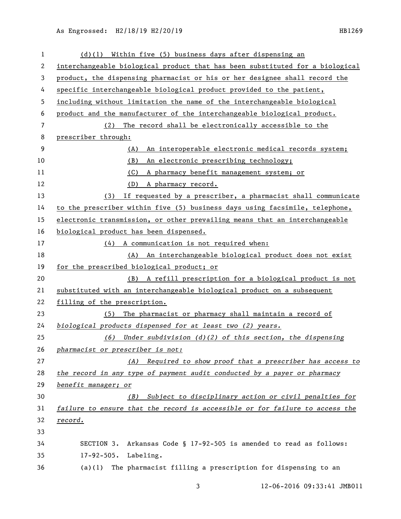As Engrossed: H2/18/19 H2/20/19 12010 12010 12020 12030 12040 12040 12050 12060 12070 12080 12080 12080 12080

| 1  | (d)(1) Within five (5) business days after dispensing an                      |
|----|-------------------------------------------------------------------------------|
| 2  | interchangeable biological product that has been substituted for a biological |
| 3  | product, the dispensing pharmacist or his or her designee shall record the    |
| 4  | specific interchangeable biological product provided to the patient,          |
| 5  | including without limitation the name of the interchangeable biological       |
| 6  | product and the manufacturer of the interchangeable biological product.       |
| 7  | The record shall be electronically accessible to the<br>(2)                   |
| 8  | prescriber through:                                                           |
| 9  | An interoperable electronic medical records system;<br>(A)                    |
| 10 | (B)<br>An electronic prescribing technology;                                  |
| 11 | A pharmacy benefit management system; or<br>(C)                               |
| 12 | A pharmacy record.<br>(D)                                                     |
| 13 | If requested by a prescriber, a pharmacist shall communicate<br>(3)           |
| 14 | to the prescriber within five (5) business days using facsimile, telephone,   |
| 15 | electronic transmission, or other prevailing means that an interchangeable    |
| 16 | biological product has been dispensed.                                        |
| 17 | (4) A communication is not required when:                                     |
| 18 | (A) An interchangeable biological product does not exist                      |
| 19 | for the prescribed biological product; or                                     |
| 20 | (B) A refill prescription for a biological product is not                     |
| 21 | substituted with an interchangeable biological product on a subsequent        |
| 22 | filling of the prescription.                                                  |
| 23 | The pharmacist or pharmacy shall maintain a record of<br>(5)                  |
| 24 | biological products dispensed for at least two (2) years.                     |
| 25 | Under subdivision $(d)(2)$ of this section, the dispensing<br>(6)             |
| 26 | pharmacist or prescriber is not:                                              |
| 27 | Required to show proof that a prescriber has access to<br>(A)                 |
| 28 | the record in any type of payment audit conducted by a payer or pharmacy      |
| 29 | benefit manager; or                                                           |
| 30 | Subject to disciplinary action or civil penalties for<br>(B)                  |
| 31 | failure to ensure that the record is accessible or for failure to access the  |
| 32 | <u>record.</u>                                                                |
| 33 |                                                                               |
| 34 | Arkansas Code § 17-92-505 is amended to read as follows:<br>SECTION 3.        |
| 35 | $17 - 92 - 505$ .<br>Labeling.                                                |
| 36 | The pharmacist filling a prescription for dispensing to an<br>(a)(1)          |

12-06-2016 09:33:41 JMB011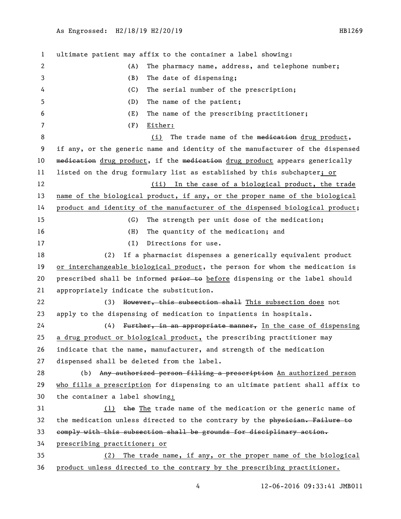ultimate patient may affix to the container a label showing: (A) The pharmacy name, address, and telephone number; (B) The date of dispensing; (C) The serial number of the prescription; (D) The name of the patient; (E) The name of the prescribing practitioner; (F) Either: 8 (i) The trade name of the medication drug product, if any, or the generic name and identity of the manufacturer of the dispensed 10 medication drug product, if the medication drug product appears generically listed on the drug formulary list as established by this subchapter; or 12 (ii) In the case of a biological product, the trade name of the biological product, if any, or the proper name of the biological product and identity of the manufacturer of the dispensed biological product; (G) The strength per unit dose of the medication; (H) The quantity of the medication; and 17 (I) Directions for use. (2) If a pharmacist dispenses a generically equivalent product or interchangeable biological product, the person for whom the medication is 20 prescribed shall be informed  $\frac{1}{p}$  before dispensing or the label should appropriately indicate the substitution. 22 (3) However, this subsection shall This subsection does not apply to the dispensing of medication to inpatients in hospitals. 24 (4) Further, in an appropriate manner, In the case of dispensing a drug product or biological product, the prescribing practitioner may indicate that the name, manufacturer, and strength of the medication dispensed shall be deleted from the label. 28 (b) Any authorized person filling a prescription An authorized person who fills a prescription for dispensing to an ultimate patient shall affix to the container a label showing: (1) the The trade name of the medication or the generic name of 32 the medication unless directed to the contrary by the physician. Failure to comply with this subsection shall be grounds for disciplinary action. prescribing practitioner; or (2) The trade name, if any, or the proper name of the biological product unless directed to the contrary by the prescribing practitioner.

12-06-2016 09:33:41 JMB011